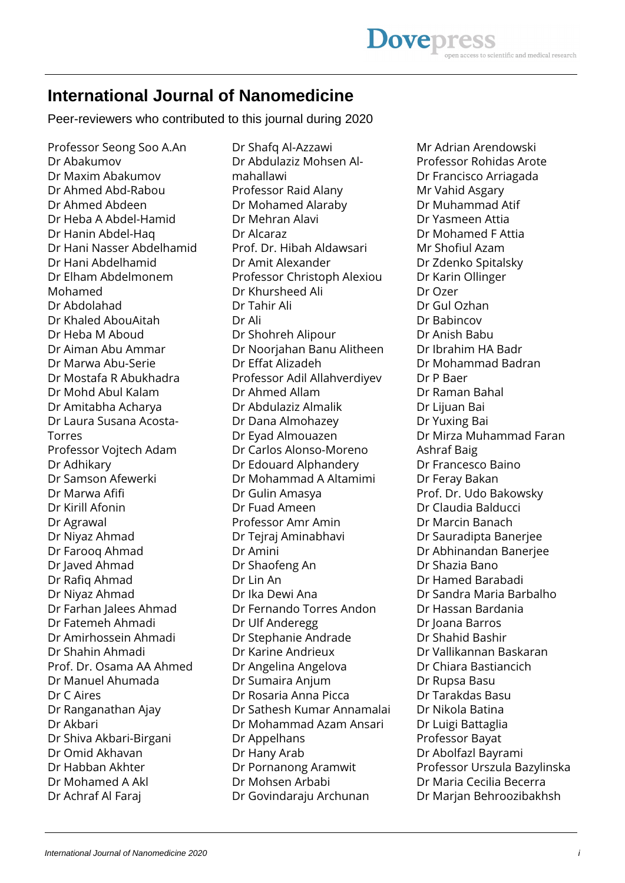## **International Journal of Nanomedicine**

Peer-reviewers who contributed to this journal during 2020

Professor Seong Soo A.An Dr Abakumov Dr Maxim Abakumov Dr Ahmed Abd-Rabou Dr Ahmed Abdeen Dr Heba A Abdel-Hamid Dr Hanin Abdel-Haq Dr Hani Nasser Abdelhamid Dr Hani Abdelhamid Dr Elham Abdelmonem Mohamed Dr Abdolahad Dr Khaled AbouAitah Dr Heba M Aboud Dr Aiman Abu Ammar Dr Marwa Abu-Serie Dr Mostafa R Abukhadra Dr Mohd Abul Kalam Dr Amitabha Acharya Dr Laura Susana Acosta-Torres Professor Vojtech Adam Dr Adhikary Dr Samson Afewerki Dr Marwa Afifi Dr Kirill Afonin Dr Agrawal Dr Niyaz Ahmad Dr Farooq Ahmad Dr Javed Ahmad Dr Rafiq Ahmad Dr Niyaz Ahmad Dr Farhan Jalees Ahmad Dr Fatemeh Ahmadi Dr Amirhossein Ahmadi Dr Shahin Ahmadi Prof. Dr. Osama AA Ahmed Dr Manuel Ahumada Dr C Aires Dr Ranganathan Ajay Dr Akbari Dr Shiva Akbari-Birgani Dr Omid Akhavan Dr Habban Akhter Dr Mohamed A Akl Dr Achraf Al Faraj

Dr Shafq Al-Azzawi Dr Abdulaziz Mohsen Almahallawi Professor Raid Alany Dr Mohamed Alaraby Dr Mehran Alavi Dr Alcaraz Prof. Dr. Hibah Aldawsari Dr Amit Alexander Professor Christoph Alexiou Dr Khursheed Ali Dr Tahir Ali Dr Ali Dr Shohreh Alipour Dr Noorjahan Banu Alitheen Dr Effat Alizadeh Professor Adil Allahverdiyev Dr Ahmed Allam Dr Abdulaziz Almalik Dr Dana Almohazey Dr Eyad Almouazen Dr Carlos Alonso-Moreno Dr Edouard Alphandery Dr Mohammad A Altamimi Dr Gulin Amasya Dr Fuad Ameen Professor Amr Amin Dr Tejraj Aminabhavi Dr Amini Dr Shaofeng An Dr Lin An Dr Ika Dewi Ana Dr Fernando Torres Andon Dr Ulf Anderegg Dr Stephanie Andrade Dr Karine Andrieux Dr Angelina Angelova Dr Sumaira Anjum Dr Rosaria Anna Picca Dr Sathesh Kumar Annamalai Dr Mohammad Azam Ansari Dr Appelhans Dr Hany Arab Dr Pornanong Aramwit Dr Mohsen Arbabi Dr Govindaraju Archunan

Mr Adrian Arendowski Professor Rohidas Arote Dr Francisco Arriagada Mr Vahid Asgary Dr Muhammad Atif Dr Yasmeen Attia Dr Mohamed F Attia Mr Shofiul Azam Dr Zdenko Spitalsky Dr Karin Ollinger Dr Ozer Dr Gul Ozhan Dr Babincov Dr Anish Babu Dr Ibrahim HA Badr Dr Mohammad Badran Dr P Baer Dr Raman Bahal Dr Lijuan Bai Dr Yuxing Bai Dr Mirza Muhammad Faran Ashraf Baig Dr Francesco Baino Dr Feray Bakan Prof. Dr. Udo Bakowsky Dr Claudia Balducci Dr Marcin Banach Dr Sauradipta Banerjee Dr Abhinandan Banerjee Dr Shazia Bano Dr Hamed Barabadi Dr Sandra Maria Barbalho Dr Hassan Bardania Dr Joana Barros Dr Shahid Bashir Dr Vallikannan Baskaran Dr Chiara Bastiancich Dr Rupsa Basu Dr Tarakdas Basu Dr Nikola Batina Dr Luigi Battaglia Professor Bayat Dr Abolfazl Bayrami Professor Urszula Bazylinska Dr Maria Cecilia Becerra Dr Marjan Behroozibakhsh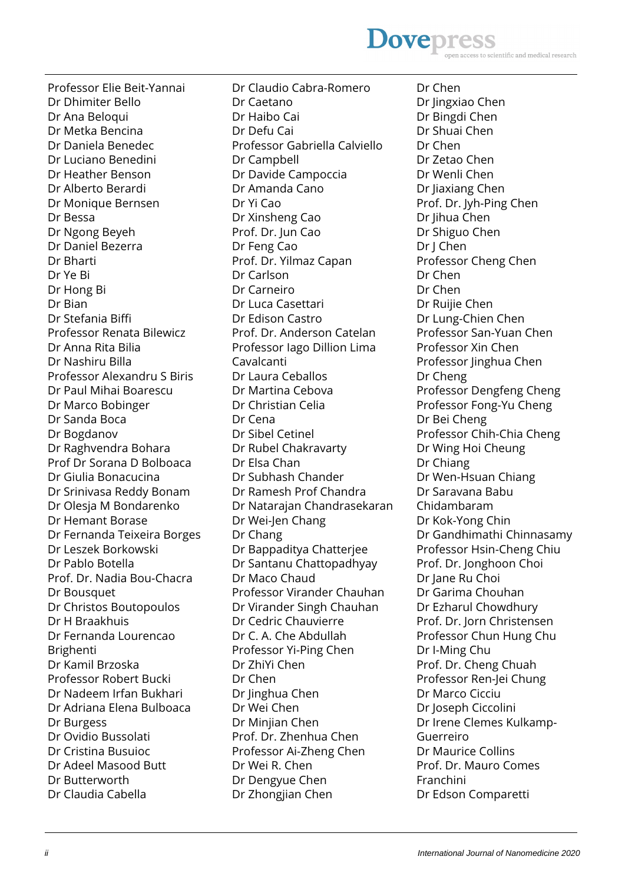

Professor Elie Beit-Yannai Dr Dhimiter Bello Dr Ana Beloqui Dr Metka Bencina Dr Daniela Benedec Dr Luciano Benedini Dr Heather Benson Dr Alberto Berardi Dr Monique Bernsen Dr Bessa Dr Ngong Beyeh Dr Daniel Bezerra Dr Bharti Dr Ye Bi Dr Hong Bi Dr Bian Dr Stefania Biffi Professor Renata Bilewicz Dr Anna Rita Bilia Dr Nashiru Billa Professor Alexandru S Biris Dr Paul Mihai Boarescu Dr Marco Bobinger Dr Sanda Boca Dr Bogdanov Dr Raghvendra Bohara Prof Dr Sorana D Bolboaca Dr Giulia Bonacucina Dr Srinivasa Reddy Bonam Dr Olesja M Bondarenko Dr Hemant Borase Dr Fernanda Teixeira Borges Dr Leszek Borkowski Dr Pablo Botella Prof. Dr. Nadia Bou-Chacra Dr Bousquet Dr Christos Boutopoulos Dr H Braakhuis Dr Fernanda Lourencao Brighenti Dr Kamil Brzoska Professor Robert Bucki Dr Nadeem Irfan Bukhari Dr Adriana Elena Bulboaca Dr Burgess Dr Ovidio Bussolati Dr Cristina Busuioc Dr Adeel Masood Butt Dr Butterworth Dr Claudia Cabella

Dr Claudio Cabra-Romero Dr Caetano Dr Haibo Cai Dr Defu Cai Professor Gabriella Calviello Dr Campbell Dr Davide Campoccia Dr Amanda Cano Dr Yi Cao Dr Xinsheng Cao Prof. Dr. Jun Cao Dr Feng Cao Prof. Dr. Yilmaz Capan Dr Carlson Dr Carneiro Dr Luca Casettari Dr Edison Castro Prof. Dr. Anderson Catelan Professor Iago Dillion Lima Cavalcanti Dr Laura Ceballos Dr Martina Cebova Dr Christian Celia Dr Cena Dr Sibel Cetinel Dr Rubel Chakravarty Dr Elsa Chan Dr Subhash Chander Dr Ramesh Prof Chandra Dr Natarajan Chandrasekaran Dr Wei-Jen Chang Dr Chang Dr Bappaditya Chatterjee Dr Santanu Chattopadhyay Dr Maco Chaud Professor Virander Chauhan Dr Virander Singh Chauhan Dr Cedric Chauvierre Dr C. A. Che Abdullah Professor Yi-Ping Chen Dr ZhiYi Chen Dr Chen Dr Jinghua Chen Dr Wei Chen Dr Minjian Chen Prof. Dr. Zhenhua Chen Professor Ai-Zheng Chen Dr Wei R. Chen Dr Dengyue Chen Dr Zhongjian Chen

Dr Chen Dr Jingxiao Chen Dr Bingdi Chen Dr Shuai Chen Dr Chen Dr Zetao Chen Dr Wenli Chen Dr Jiaxiang Chen Prof. Dr. Jyh-Ping Chen Dr Jihua Chen Dr Shiguo Chen Dr J Chen Professor Cheng Chen Dr Chen Dr Chen Dr Ruijie Chen Dr Lung-Chien Chen Professor San-Yuan Chen Professor Xin Chen Professor linghua Chen Dr Cheng Professor Dengfeng Cheng Professor Fong-Yu Cheng Dr Bei Cheng Professor Chih-Chia Cheng Dr Wing Hoi Cheung Dr Chiang Dr Wen-Hsuan Chiang Dr Saravana Babu Chidambaram Dr Kok-Yong Chin Dr Gandhimathi Chinnasamy Professor Hsin-Cheng Chiu Prof. Dr. Jonghoon Choi Dr Jane Ru Choi Dr Garima Chouhan Dr Ezharul Chowdhury Prof. Dr. Jorn Christensen Professor Chun Hung Chu Dr I-Ming Chu Prof. Dr. Cheng Chuah Professor Ren-Jei Chung Dr Marco Cicciu Dr Joseph Ciccolini Dr Irene Clemes Kulkamp-Guerreiro Dr Maurice Collins Prof. Dr. Mauro Comes Franchini Dr Edson Comparetti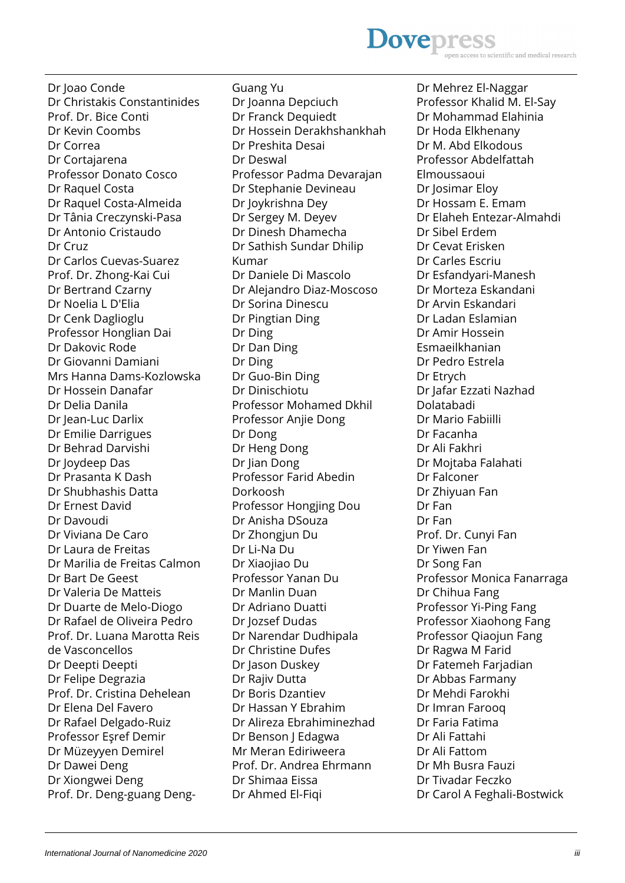Dr Joao Conde Dr Christakis Constantinides Prof. Dr. Bice Conti Dr Kevin Coombs Dr Correa Dr Cortajarena Professor Donato Cosco Dr Raquel Costa Dr Raquel Costa-Almeida Dr Tânia Creczynski-Pasa Dr Antonio Cristaudo Dr Cruz Dr Carlos Cuevas-Suarez Prof. Dr. Zhong-Kai Cui Dr Bertrand Czarny Dr Noelia L D'Elia Dr Cenk Daglioglu Professor Honglian Dai Dr Dakovic Rode Dr Giovanni Damiani Mrs Hanna Dams-Kozlowska Dr Hossein Danafar Dr Delia Danila Dr Jean-Luc Darlix Dr Emilie Darrigues Dr Behrad Darvishi Dr Joydeep Das Dr Prasanta K Dash Dr Shubhashis Datta Dr Ernest David Dr Davoudi Dr Viviana De Caro Dr Laura de Freitas Dr Marilia de Freitas Calmon Dr Bart De Geest Dr Valeria De Matteis Dr Duarte de Melo-Diogo Dr Rafael de Oliveira Pedro Prof. Dr. Luana Marotta Reis de Vasconcellos Dr Deepti Deepti Dr Felipe Degrazia Prof. Dr. Cristina Dehelean Dr Elena Del Favero Dr Rafael Delgado-Ruiz Professor Eşref Demir Dr Müzeyyen Demirel Dr Dawei Deng Dr Xiongwei Deng Prof. Dr. Deng-guang DengGuang Yu Dr Joanna Depciuch Dr Franck Dequiedt Dr Hossein Derakhshankhah Dr Preshita Desai Dr Deswal Professor Padma Devarajan Dr Stephanie Devineau Dr Joykrishna Dey Dr Sergey M. Deyev Dr Dinesh Dhamecha Dr Sathish Sundar Dhilip Kumar Dr Daniele Di Mascolo Dr Alejandro Diaz-Moscoso Dr Sorina Dinescu Dr Pingtian Ding Dr Ding Dr Dan Ding Dr Ding Dr Guo-Bin Ding Dr Dinischiotu Professor Mohamed Dkhil Professor Anjie Dong Dr Dong Dr Heng Dong Dr Jian Dong Professor Farid Abedin Dorkoosh Professor Hongjing Dou Dr Anisha DSouza Dr Zhongjun Du Dr Li-Na Du Dr Xiaojiao Du Professor Yanan Du Dr Manlin Duan Dr Adriano Duatti Dr Jozsef Dudas Dr Narendar Dudhipala Dr Christine Dufes Dr Jason Duskey Dr Rajiv Dutta Dr Boris Dzantiev Dr Hassan Y Ebrahim Dr Alireza Ebrahiminezhad Dr Benson J Edagwa Mr Meran Ediriweera Prof. Dr. Andrea Ehrmann Dr Shimaa Eissa Dr Ahmed El-Fiqi

Dr Mehrez El-Naggar Professor Khalid M. El-Say Dr Mohammad Elahinia Dr Hoda Elkhenany Dr M. Abd Elkodous Professor Abdelfattah Elmoussaoui Dr Josimar Eloy Dr Hossam E. Emam Dr Elaheh Entezar-Almahdi Dr Sibel Erdem Dr Cevat Erisken Dr Carles Escriu Dr Esfandyari-Manesh Dr Morteza Eskandani Dr Arvin Eskandari Dr Ladan Eslamian Dr Amir Hossein Esmaeilkhanian Dr Pedro Estrela Dr Etrych Dr Jafar Ezzati Nazhad Dolatabadi Dr Mario Fabiilli Dr Facanha Dr Ali Fakhri Dr Mojtaba Falahati Dr Falconer Dr Zhiyuan Fan Dr Fan Dr Fan Prof. Dr. Cunyi Fan Dr Yiwen Fan Dr Song Fan Professor Monica Fanarraga Dr Chihua Fang Professor Yi-Ping Fang Professor Xiaohong Fang Professor Qiaojun Fang Dr Ragwa M Farid Dr Fatemeh Farjadian Dr Abbas Farmany Dr Mehdi Farokhi Dr Imran Farooq Dr Faria Fatima Dr Ali Fattahi Dr Ali Fattom Dr Mh Busra Fauzi Dr Tivadar Feczko Dr Carol A Feghali-Bostwick

#### **Dovepres** scientific and medical research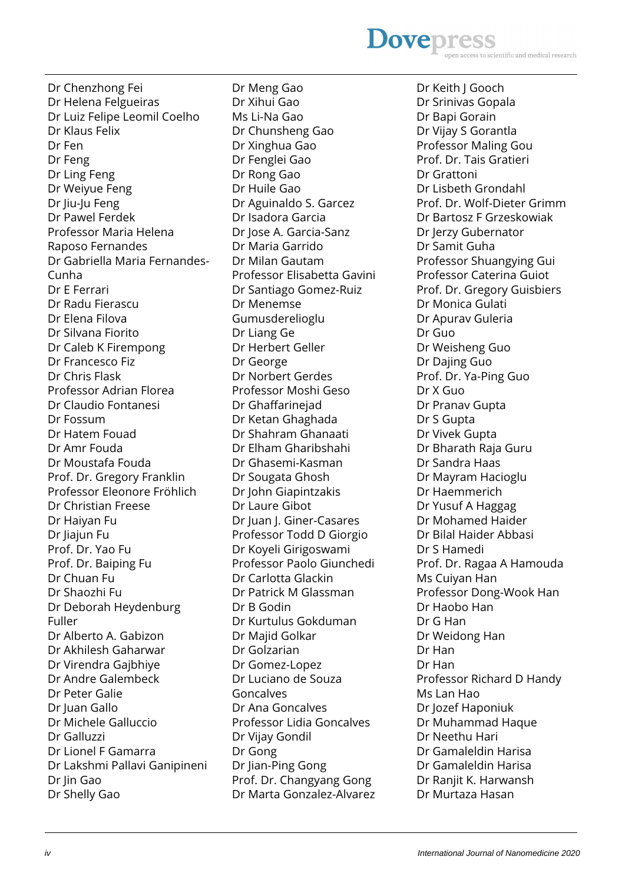#### **Dovepres** scientific and medical research

Dr Chenzhong Fei Dr Helena Felgueiras Dr Luiz Felipe Leomil Coelho Dr Klaus Felix Dr Fen Dr Feng Dr Ling Feng Dr Weiyue Feng Dr Jiu-Ju Feng Dr Pawel Ferdek Professor Maria Helena Raposo Fernandes Dr Gabriella Maria Fernandes-Cunha Dr E Ferrari Dr Radu Fierascu Dr Elena Filova Dr Silvana Fiorito Dr Caleb K Firempong Dr Francesco Fiz Dr Chris Flask Professor Adrian Florea Dr Claudio Fontanesi Dr Fossum Dr Hatem Fouad Dr Amr Fouda Dr Moustafa Fouda Prof. Dr. Gregory Franklin Professor Eleonore Fröhlich Dr Christian Freese Dr Haiyan Fu Dr liajun Fu Prof. Dr. Yao Fu Prof. Dr. Baiping Fu Dr Chuan Fu Dr Shaozhi Fu Dr Deborah Heydenburg Fuller Dr Alberto A. Gabizon Dr Akhilesh Gaharwar Dr Virendra Gajbhiye Dr Andre Galembeck Dr Peter Galie Dr Juan Gallo Dr Michele Galluccio Dr Galluzzi Dr Lionel F Gamarra Dr Lakshmi Pallavi Ganipineni Dr Jin Gao Dr Shelly Gao

Dr Meng Gao Dr Xihui Gao Ms Li-Na Gao Dr Chunsheng Gao Dr Xinghua Gao Dr Fenglei Gao Dr Rong Gao Dr Huile Gao Dr Aguinaldo S. Garcez Dr Isadora Garcia Dr Jose A. Garcia-Sanz Dr Maria Garrido Dr Milan Gautam Professor Elisabetta Gavini Dr Santiago Gomez-Ruiz Dr Menemse Gumusderelioglu Dr Liang Ge Dr Herbert Geller Dr George Dr Norbert Gerdes Professor Moshi Geso Dr Ghaffarinejad Dr Ketan Ghaghada Dr Shahram Ghanaati Dr Elham Gharibshahi Dr Ghasemi-Kasman Dr Sougata Ghosh Dr John Giapintzakis Dr Laure Gibot Dr Juan J. Giner-Casares Professor Todd D Giorgio Dr Koyeli Girigoswami Professor Paolo Giunchedi Dr Carlotta Glackin Dr Patrick M Glassman Dr B Godin Dr Kurtulus Gokduman Dr Majid Golkar Dr Golzarian Dr Gomez-Lopez Dr Luciano de Souza Goncalves Dr Ana Goncalves Professor Lidia Goncalves Dr Vijay Gondil Dr Gong Dr Jian-Ping Gong Prof. Dr. Changyang Gong Dr Marta Gonzalez-Alvarez Dr Keith J Gooch Dr Srinivas Gopala Dr Bapi Gorain Dr Vijay S Gorantla Professor Maling Gou Prof. Dr. Tais Gratieri Dr Grattoni Dr Lisbeth Grondahl Prof. Dr. Wolf-Dieter Grimm Dr Bartosz F Grzeskowiak Dr Jerzy Gubernator Dr Samit Guha Professor Shuangying Gui Professor Caterina Guiot Prof. Dr. Gregory Guisbiers Dr Monica Gulati Dr Apurav Guleria Dr Guo Dr Weisheng Guo Dr Dajing Guo Prof. Dr. Ya-Ping Guo Dr X Guo Dr Pranav Gupta Dr S Gupta Dr Vivek Gupta Dr Bharath Raja Guru Dr Sandra Haas Dr Mayram Hacioglu Dr Haemmerich Dr Yusuf A Haggag Dr Mohamed Haider Dr Bilal Haider Abbasi Dr S Hamedi Prof. Dr. Ragaa A Hamouda Ms Cuiyan Han Professor Dong-Wook Han Dr Haobo Han Dr G Han Dr Weidong Han Dr Han Dr Han Professor Richard D Handy Ms Lan Hao Dr Jozef Haponiuk Dr Muhammad Haque Dr Neethu Hari Dr Gamaleldin Harisa Dr Gamaleldin Harisa Dr Ranjit K. Harwansh Dr Murtaza Hasan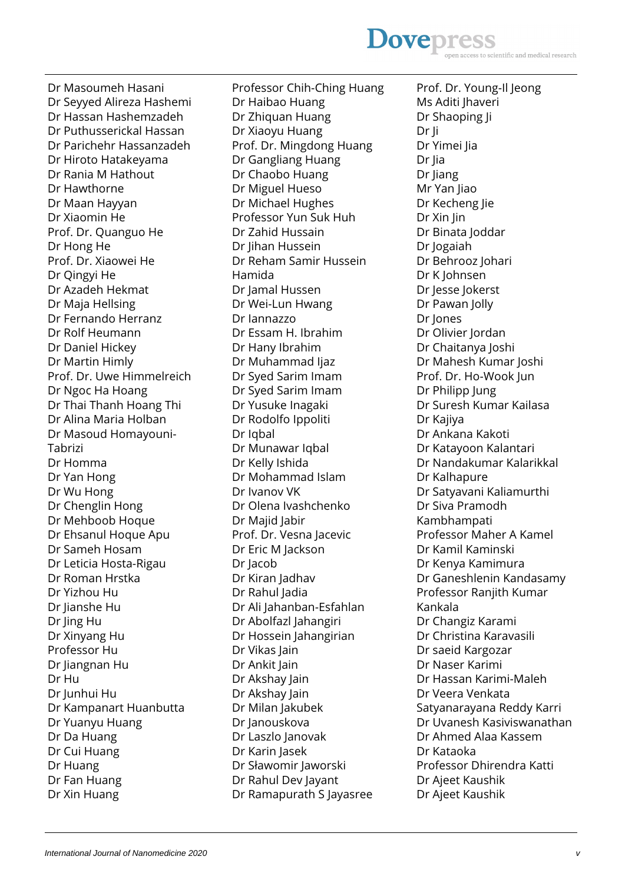#### **Dovepress** scientific and medical research

Dr Masoumeh Hasani Dr Seyyed Alireza Hashemi Dr Hassan Hashemzadeh Dr Puthusserickal Hassan Dr Parichehr Hassanzadeh Dr Hiroto Hatakeyama Dr Rania M Hathout Dr Hawthorne Dr Maan Hayyan Dr Xiaomin He Prof. Dr. Quanguo He Dr Hong He Prof. Dr. Xiaowei He Dr Qingyi He Dr Azadeh Hekmat Dr Maja Hellsing Dr Fernando Herranz Dr Rolf Heumann Dr Daniel Hickey Dr Martin Himly Prof. Dr. Uwe Himmelreich Dr Ngoc Ha Hoang Dr Thai Thanh Hoang Thi Dr Alina Maria Holban Dr Masoud Homayouni-Tabrizi Dr Homma Dr Yan Hong Dr Wu Hong Dr Chenglin Hong Dr Mehboob Hoque Dr Ehsanul Hoque Apu Dr Sameh Hosam Dr Leticia Hosta-Rigau Dr Roman Hrstka Dr Yizhou Hu Dr Jianshe Hu Dr Jing Hu Dr Xinyang Hu Professor Hu Dr Jiangnan Hu Dr Hu Dr Junhui Hu Dr Kampanart Huanbutta Dr Yuanyu Huang Dr Da Huang Dr Cui Huang Dr Huang Dr Fan Huang Dr Xin Huang

Professor Chih-Ching Huang Dr Haibao Huang Dr Zhiquan Huang Dr Xiaoyu Huang Prof. Dr. Mingdong Huang Dr Gangliang Huang Dr Chaobo Huang Dr Miguel Hueso Dr Michael Hughes Professor Yun Suk Huh Dr Zahid Hussain Dr Jihan Hussein Dr Reham Samir Hussein Hamida Dr Jamal Hussen Dr Wei-Lun Hwang Dr Iannazzo Dr Essam H. Ibrahim Dr Hany Ibrahim Dr Muhammad Ijaz Dr Syed Sarim Imam Dr Syed Sarim Imam Dr Yusuke Inagaki Dr Rodolfo Ippoliti Dr Iqbal Dr Munawar Iqbal Dr Kelly Ishida Dr Mohammad Islam Dr Ivanov VK Dr Olena Ivashchenko Dr Majid Jabir Prof. Dr. Vesna Jacevic Dr Eric M Jackson Dr Jacob Dr Kiran Jadhav Dr Rahul Jadia Dr Ali Jahanban-Esfahlan Dr Abolfazl Jahangiri Dr Hossein Jahangirian Dr Vikas Jain Dr Ankit Jain Dr Akshay Jain Dr Akshay Jain Dr Milan Jakubek Dr Janouskova Dr Laszlo Janovak Dr Karin Jasek Dr Sławomir Jaworski Dr Rahul Dev Jayant Dr Ramapurath S Jayasree

Prof. Dr. Young-Il Jeong Ms Aditi Jhaveri Dr Shaoping Ji Dr Ji Dr Yimei Jia Dr Jia Dr Jiang Mr Yan Jiao Dr Kecheng Jie Dr Xin Jin Dr Binata Joddar Dr Jogaiah Dr Behrooz Johari Dr K Johnsen Dr Jesse Jokerst Dr Pawan Jolly Dr Jones Dr Olivier Jordan Dr Chaitanya Joshi Dr Mahesh Kumar Joshi Prof. Dr. Ho-Wook Jun Dr Philipp Jung Dr Suresh Kumar Kailasa Dr Kajiya Dr Ankana Kakoti Dr Katayoon Kalantari Dr Nandakumar Kalarikkal Dr Kalhapure Dr Satyavani Kaliamurthi Dr Siva Pramodh Kambhampati Professor Maher A Kamel Dr Kamil Kaminski Dr Kenya Kamimura Dr Ganeshlenin Kandasamy Professor Ranjith Kumar Kankala Dr Changiz Karami Dr Christina Karavasili Dr saeid Kargozar Dr Naser Karimi Dr Hassan Karimi-Maleh Dr Veera Venkata Satyanarayana Reddy Karri Dr Uvanesh Kasiviswanathan Dr Ahmed Alaa Kassem Dr Kataoka Professor Dhirendra Katti Dr Ajeet Kaushik Dr Ajeet Kaushik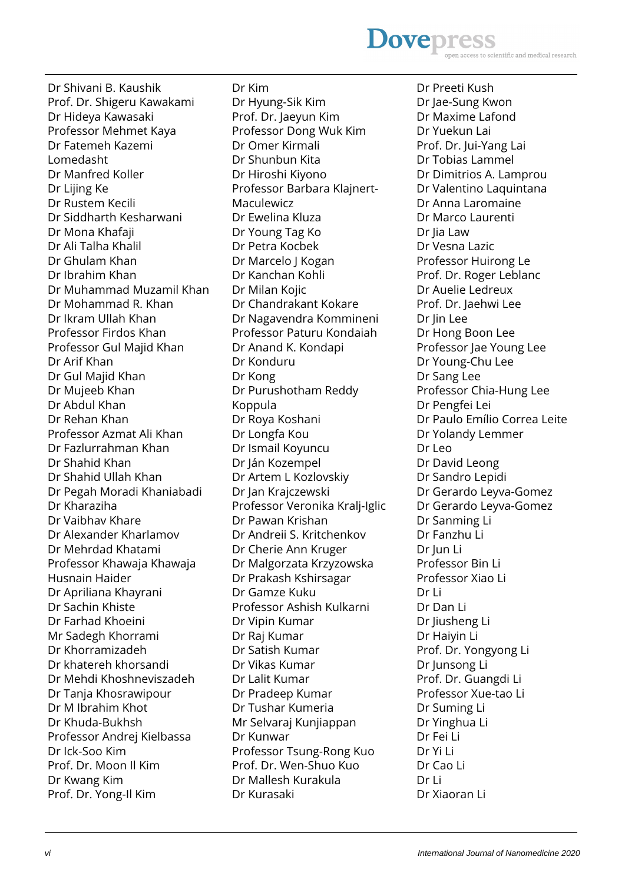#### **Dovepres** scientific and medical research

Dr Shivani B. Kaushik Prof. Dr. Shigeru Kawakami Dr Hideya Kawasaki Professor Mehmet Kaya Dr Fatemeh Kazemi Lomedasht Dr Manfred Koller Dr Lijing Ke Dr Rustem Kecili Dr Siddharth Kesharwani Dr Mona Khafaji Dr Ali Talha Khalil Dr Ghulam Khan Dr Ibrahim Khan Dr Muhammad Muzamil Khan Dr Mohammad R. Khan Dr Ikram Ullah Khan Professor Firdos Khan Professor Gul Majid Khan Dr Arif Khan Dr Gul Majid Khan Dr Mujeeb Khan Dr Abdul Khan Dr Rehan Khan Professor Azmat Ali Khan Dr Fazlurrahman Khan Dr Shahid Khan Dr Shahid Ullah Khan Dr Pegah Moradi Khaniabadi Dr Kharaziha Dr Vaibhav Khare Dr Alexander Kharlamov Dr Mehrdad Khatami Professor Khawaja Khawaja Husnain Haider Dr Apriliana Khayrani Dr Sachin Khiste Dr Farhad Khoeini Mr Sadegh Khorrami Dr Khorramizadeh Dr khatereh khorsandi Dr Mehdi Khoshneviszadeh Dr Tanja Khosrawipour Dr M Ibrahim Khot Dr Khuda-Bukhsh Professor Andrej Kielbassa Dr Ick-Soo Kim Prof. Dr. Moon Il Kim Dr Kwang Kim Prof. Dr. Yong-Il Kim

Dr Kim Dr Hyung-Sik Kim Prof. Dr. Jaeyun Kim Professor Dong Wuk Kim Dr Omer Kirmali Dr Shunbun Kita Dr Hiroshi Kiyono Professor Barbara Klajnert-Maculewicz Dr Ewelina Kluza Dr Young Tag Ko Dr Petra Kocbek Dr Marcelo J Kogan Dr Kanchan Kohli Dr Milan Kojic Dr Chandrakant Kokare Dr Nagavendra Kommineni Professor Paturu Kondaiah Dr Anand K. Kondapi Dr Konduru Dr Kong Dr Purushotham Reddy Koppula Dr Roya Koshani Dr Longfa Kou Dr Ismail Koyuncu Dr Ján Kozempel Dr Artem L Kozlovskiy Dr Jan Krajczewski Professor Veronika Kralj-Iglic Dr Pawan Krishan Dr Andreii S. Kritchenkov Dr Cherie Ann Kruger Dr Malgorzata Krzyzowska Dr Prakash Kshirsagar Dr Gamze Kuku Professor Ashish Kulkarni Dr Vipin Kumar Dr Raj Kumar Dr Satish Kumar Dr Vikas Kumar Dr Lalit Kumar Dr Pradeep Kumar Dr Tushar Kumeria Mr Selvaraj Kunjiappan Dr Kunwar Professor Tsung-Rong Kuo Prof. Dr. Wen-Shuo Kuo Dr Mallesh Kurakula Dr Kurasaki

Dr Preeti Kush Dr Jae-Sung Kwon Dr Maxime Lafond Dr Yuekun Lai Prof. Dr. Jui-Yang Lai Dr Tobias Lammel Dr Dimitrios A. Lamprou Dr Valentino Laquintana Dr Anna Laromaine Dr Marco Laurenti Dr Jia Law Dr Vesna Lazic Professor Huirong Le Prof. Dr. Roger Leblanc Dr Auelie Ledreux Prof. Dr. Jaehwi Lee Dr Jin Lee Dr Hong Boon Lee Professor Jae Young Lee Dr Young-Chu Lee Dr Sang Lee Professor Chia-Hung Lee Dr Pengfei Lei Dr Paulo Emílio Correa Leite Dr Yolandy Lemmer Dr Leo Dr David Leong Dr Sandro Lepidi Dr Gerardo Leyva-Gomez Dr Gerardo Leyva-Gomez Dr Sanming Li Dr Fanzhu Li Dr Jun Li Professor Bin Li Professor Xiao Li Dr Li Dr Dan Li Dr Jiusheng Li Dr Haiyin Li Prof. Dr. Yongyong Li Dr Junsong Li Prof. Dr. Guangdi Li Professor Xue-tao Li Dr Suming Li Dr Yinghua Li Dr Fei Li Dr Yi Li Dr Cao Li Dr Li Dr Xiaoran Li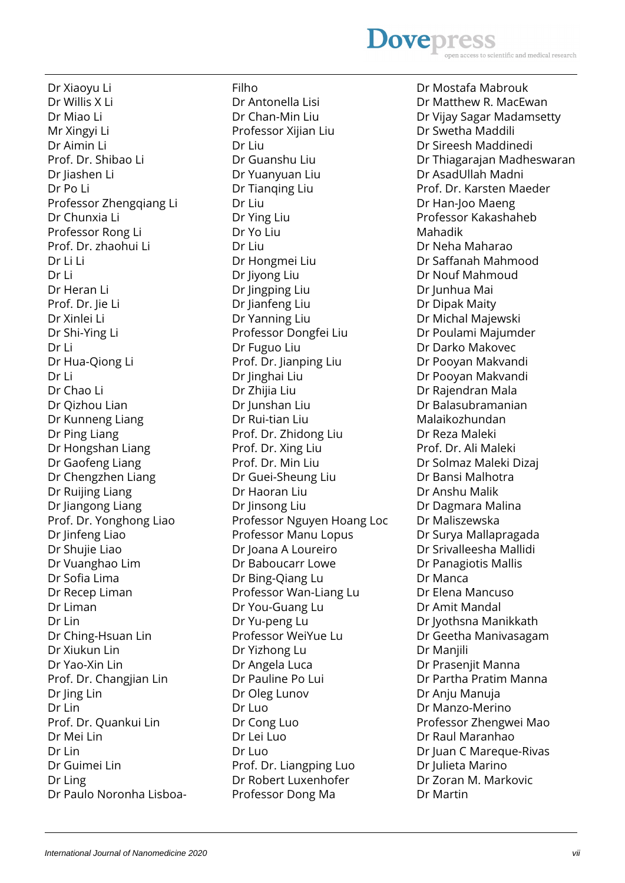#### **Dovepres** scientific and medical research

Dr Xiaoyu Li Dr Willis X Li Dr Miao Li Mr Xingyi Li Dr Aimin Li Prof. Dr. Shibao Li Dr Jiashen Li Dr Po Li Professor Zhengqiang Li Dr Chunxia Li Professor Rong Li Prof. Dr. zhaohui Li Dr Li Li Dr Li Dr Heran Li Prof. Dr. Jie Li Dr Xinlei Li Dr Shi-Ying Li Dr Li Dr Hua-Qiong Li Dr Li Dr Chao Li Dr Qizhou Lian Dr Kunneng Liang Dr Ping Liang Dr Hongshan Liang Dr Gaofeng Liang Dr Chengzhen Liang Dr Ruijing Liang Dr Jiangong Liang Prof. Dr. Yonghong Liao Dr Jinfeng Liao Dr Shujie Liao Dr Vuanghao Lim Dr Sofia Lima Dr Recep Liman Dr Liman Dr Lin Dr Ching-Hsuan Lin Dr Xiukun Lin Dr Yao-Xin Lin Prof. Dr. Changjian Lin Dr Jing Lin Dr Lin Prof. Dr. Quankui Lin Dr Mei Lin Dr Lin Dr Guimei Lin Dr Ling Dr Paulo Noronha LisboaFilho Dr Antonella Lisi Dr Chan-Min Liu Professor Xijian Liu Dr Liu Dr Guanshu Liu Dr Yuanyuan Liu Dr Tianqing Liu Dr Liu Dr Ying Liu Dr Yo Liu Dr Liu Dr Hongmei Liu Dr Jiyong Liu Dr Jingping Liu Dr Jianfeng Liu Dr Yanning Liu Professor Dongfei Liu Dr Fuguo Liu Prof. Dr. Jianping Liu Dr Jinghai Liu Dr Zhijia Liu Dr Junshan Liu Dr Rui-tian Liu Prof. Dr. Zhidong Liu Prof. Dr. Xing Liu Prof. Dr. Min Liu Dr Guei-Sheung Liu Dr Haoran Liu Dr Jinsong Liu Professor Nguyen Hoang Loc Professor Manu Lopus Dr Joana A Loureiro Dr Baboucarr Lowe Dr Bing-Qiang Lu Professor Wan-Liang Lu Dr You-Guang Lu Dr Yu-peng Lu Professor WeiYue Lu Dr Yizhong Lu Dr Angela Luca Dr Pauline Po Lui Dr Oleg Lunov Dr Luo Dr Cong Luo Dr Lei Luo Dr Luo Prof. Dr. Liangping Luo Dr Robert Luxenhofer Professor Dong Ma

Dr Mostafa Mabrouk Dr Matthew R. MacEwan Dr Vijay Sagar Madamsetty Dr Swetha Maddili Dr Sireesh Maddinedi Dr Thiagarajan Madheswaran Dr AsadUllah Madni Prof. Dr. Karsten Maeder Dr Han-Joo Maeng Professor Kakashaheb Mahadik Dr Neha Maharao Dr Saffanah Mahmood Dr Nouf Mahmoud Dr Junhua Mai Dr Dipak Maity Dr Michal Majewski Dr Poulami Majumder Dr Darko Makovec Dr Pooyan Makvandi Dr Pooyan Makvandi Dr Rajendran Mala Dr Balasubramanian Malaikozhundan Dr Reza Maleki Prof. Dr. Ali Maleki Dr Solmaz Maleki Dizaj Dr Bansi Malhotra Dr Anshu Malik Dr Dagmara Malina Dr Maliszewska Dr Surya Mallapragada Dr Srivalleesha Mallidi Dr Panagiotis Mallis Dr Manca Dr Elena Mancuso Dr Amit Mandal Dr Jyothsna Manikkath Dr Geetha Manivasagam Dr Manjili Dr Prasenjit Manna Dr Partha Pratim Manna Dr Anju Manuja Dr Manzo-Merino Professor Zhengwei Mao Dr Raul Maranhao Dr Juan C Mareque-Rivas Dr Julieta Marino Dr Zoran M. Markovic Dr Martin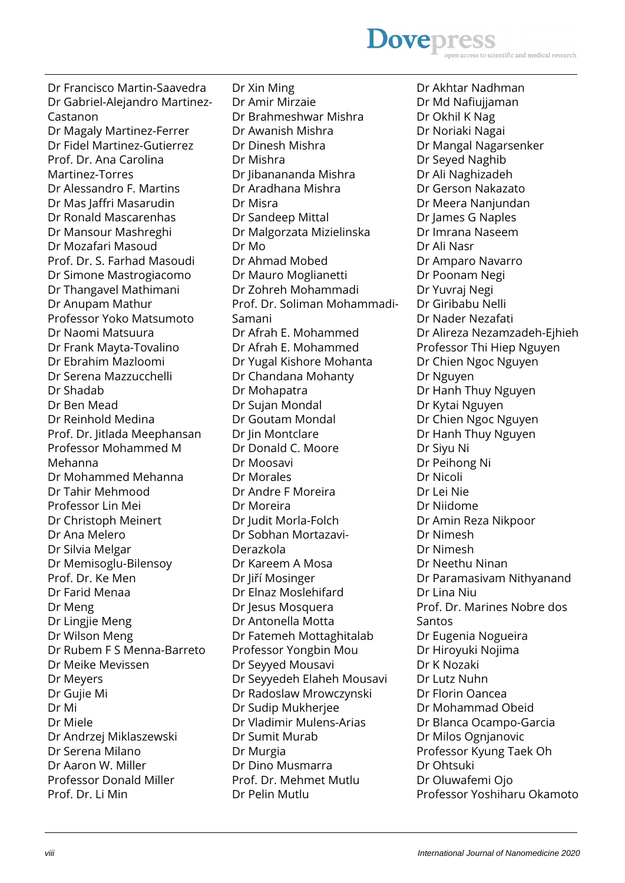### **Dovepress** scientific and medical research

Dr Francisco Martin-Saavedra Dr Gabriel-Alejandro Martinez-Castanon Dr Magaly Martinez-Ferrer Dr Fidel Martinez-Gutierrez Prof. Dr. Ana Carolina Martinez-Torres Dr Alessandro F. Martins Dr Mas Jaffri Masarudin Dr Ronald Mascarenhas Dr Mansour Mashreghi Dr Mozafari Masoud Prof. Dr. S. Farhad Masoudi Dr Simone Mastrogiacomo Dr Thangavel Mathimani Dr Anupam Mathur Professor Yoko Matsumoto Dr Naomi Matsuura Dr Frank Mayta-Tovalino Dr Ebrahim Mazloomi Dr Serena Mazzucchelli Dr Shadab Dr Ben Mead Dr Reinhold Medina Prof. Dr. Jitlada Meephansan Professor Mohammed M Mehanna Dr Mohammed Mehanna Dr Tahir Mehmood Professor Lin Mei Dr Christoph Meinert Dr Ana Melero Dr Silvia Melgar Dr Memisoglu-Bilensoy Prof. Dr. Ke Men Dr Farid Menaa Dr Meng Dr Lingjie Meng Dr Wilson Meng Dr Rubem F S Menna-Barreto Dr Meike Mevissen Dr Meyers Dr Gujie Mi Dr Mi Dr Miele Dr Andrzej Miklaszewski Dr Serena Milano Dr Aaron W. Miller Professor Donald Miller Prof. Dr. Li Min

Dr Xin Ming Dr Amir Mirzaie Dr Brahmeshwar Mishra Dr Awanish Mishra Dr Dinesh Mishra Dr Mishra Dr Jibanananda Mishra Dr Aradhana Mishra Dr Misra Dr Sandeep Mittal Dr Malgorzata Mizielinska Dr Mo Dr Ahmad Mobed Dr Mauro Moglianetti Dr Zohreh Mohammadi Prof. Dr. Soliman Mohammadi-Samani Dr Afrah E. Mohammed Dr Afrah E. Mohammed Dr Yugal Kishore Mohanta Dr Chandana Mohanty Dr Mohapatra Dr Sujan Mondal Dr Goutam Mondal Dr lin Montclare Dr Donald C. Moore Dr Moosavi Dr Morales Dr Andre F Moreira Dr Moreira Dr Judit Morla-Folch Dr Sobhan Mortazavi-Derazkola Dr Kareem A Mosa Dr Jiří Mosinger Dr Elnaz Moslehifard Dr Jesus Mosquera Dr Antonella Motta Dr Fatemeh Mottaghitalab Professor Yongbin Mou Dr Seyyed Mousavi Dr Seyyedeh Elaheh Mousavi Dr Radoslaw Mrowczynski Dr Sudip Mukherjee Dr Vladimir Mulens-Arias Dr Sumit Murab Dr Murgia Dr Dino Musmarra Prof. Dr. Mehmet Mutlu Dr Pelin Mutlu

Dr Akhtar Nadhman Dr Md Nafiujjaman Dr Okhil K Nag Dr Noriaki Nagai Dr Mangal Nagarsenker Dr Seyed Naghib Dr Ali Naghizadeh Dr Gerson Nakazato Dr Meera Nanjundan Dr James G Naples Dr Imrana Naseem Dr Ali Nasr Dr Amparo Navarro Dr Poonam Negi Dr Yuvraj Negi Dr Giribabu Nelli Dr Nader Nezafati Dr Alireza Nezamzadeh-Ejhieh Professor Thi Hiep Nguyen Dr Chien Ngoc Nguyen Dr Nguyen Dr Hanh Thuy Nguyen Dr Kytai Nguyen Dr Chien Ngoc Nguyen Dr Hanh Thuy Nguyen Dr Siyu Ni Dr Peihong Ni Dr Nicoli Dr Lei Nie Dr Niidome Dr Amin Reza Nikpoor Dr Nimesh Dr Nimesh Dr Neethu Ninan Dr Paramasivam Nithyanand Dr Lina Niu Prof. Dr. Marines Nobre dos Santos Dr Eugenia Nogueira Dr Hiroyuki Nojima Dr K Nozaki Dr Lutz Nuhn Dr Florin Oancea Dr Mohammad Obeid Dr Blanca Ocampo-Garcia Dr Milos Ognjanovic Professor Kyung Taek Oh Dr Ohtsuki Dr Oluwafemi Ojo Professor Yoshiharu Okamoto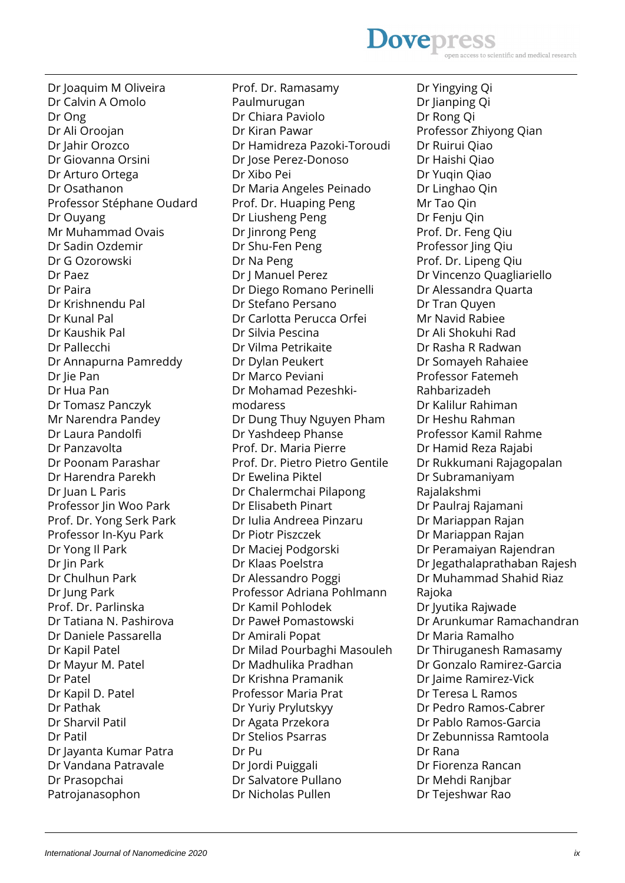**Dovepres** to scientific and medical research

Dr Joaquim M Oliveira Dr Calvin A Omolo Dr Ong Dr Ali Oroojan Dr Jahir Orozco Dr Giovanna Orsini Dr Arturo Ortega Dr Osathanon Professor Stéphane Oudard Dr Ouyang Mr Muhammad Ovais Dr Sadin Ozdemir Dr G Ozorowski Dr Paez Dr Paira Dr Krishnendu Pal Dr Kunal Pal Dr Kaushik Pal Dr Pallecchi Dr Annapurna Pamreddy Dr Jie Pan Dr Hua Pan Dr Tomasz Panczyk Mr Narendra Pandey Dr Laura Pandolfi Dr Panzavolta Dr Poonam Parashar Dr Harendra Parekh Dr Juan L Paris Professor Jin Woo Park Prof. Dr. Yong Serk Park Professor In-Kyu Park Dr Yong Il Park Dr Jin Park Dr Chulhun Park Dr Jung Park Prof. Dr. Parlinska Dr Tatiana N. Pashirova Dr Daniele Passarella Dr Kapil Patel Dr Mayur M. Patel Dr Patel Dr Kapil D. Patel Dr Pathak Dr Sharvil Patil Dr Patil Dr Jayanta Kumar Patra Dr Vandana Patravale Dr Prasopchai Patrojanasophon

Prof. Dr. Ramasamy Paulmurugan Dr Chiara Paviolo Dr Kiran Pawar Dr Hamidreza Pazoki-Toroudi Dr Jose Perez-Donoso Dr Xibo Pei Dr Maria Angeles Peinado Prof. Dr. Huaping Peng Dr Liusheng Peng Dr Jinrong Peng Dr Shu-Fen Peng Dr Na Peng Dr J Manuel Perez Dr Diego Romano Perinelli Dr Stefano Persano Dr Carlotta Perucca Orfei Dr Silvia Pescina Dr Vilma Petrikaite Dr Dylan Peukert Dr Marco Peviani Dr Mohamad Pezeshkimodaress Dr Dung Thuy Nguyen Pham Dr Yashdeep Phanse Prof. Dr. Maria Pierre Prof. Dr. Pietro Pietro Gentile Dr Ewelina Piktel Dr Chalermchai Pilapong Dr Elisabeth Pinart Dr Iulia Andreea Pinzaru Dr Piotr Piszczek Dr Maciej Podgorski Dr Klaas Poelstra Dr Alessandro Poggi Professor Adriana Pohlmann Dr Kamil Pohlodek Dr Paweł Pomastowski Dr Amirali Popat Dr Milad Pourbaghi Masouleh Dr Madhulika Pradhan Dr Krishna Pramanik Professor Maria Prat Dr Yuriy Prylutskyy Dr Agata Przekora Dr Stelios Psarras Dr Pu Dr Jordi Puiggali Dr Salvatore Pullano Dr Nicholas Pullen

Dr Yingying Qi Dr Jianping Qi Dr Rong Qi Professor Zhiyong Qian Dr Ruirui Qiao Dr Haishi Qiao Dr Yuqin Qiao Dr Linghao Qin Mr Tao Qin Dr Fenju Qin Prof. Dr. Feng Qiu Professor Jing Qiu Prof. Dr. Lipeng Qiu Dr Vincenzo Quagliariello Dr Alessandra Quarta Dr Tran Quyen Mr Navid Rabiee Dr Ali Shokuhi Rad Dr Rasha R Radwan Dr Somayeh Rahaiee Professor Fatemeh Rahbarizadeh Dr Kalilur Rahiman Dr Heshu Rahman Professor Kamil Rahme Dr Hamid Reza Rajabi Dr Rukkumani Rajagopalan Dr Subramaniyam Rajalakshmi Dr Paulraj Rajamani Dr Mariappan Rajan Dr Mariappan Rajan Dr Peramaiyan Rajendran Dr Jegathalaprathaban Rajesh Dr Muhammad Shahid Riaz Rajoka Dr Jyutika Rajwade Dr Arunkumar Ramachandran Dr Maria Ramalho Dr Thiruganesh Ramasamy Dr Gonzalo Ramirez-Garcia Dr Jaime Ramirez-Vick Dr Teresa L Ramos Dr Pedro Ramos-Cabrer Dr Pablo Ramos-Garcia Dr Zebunnissa Ramtoola Dr Rana Dr Fiorenza Rancan Dr Mehdi Ranjbar Dr Tejeshwar Rao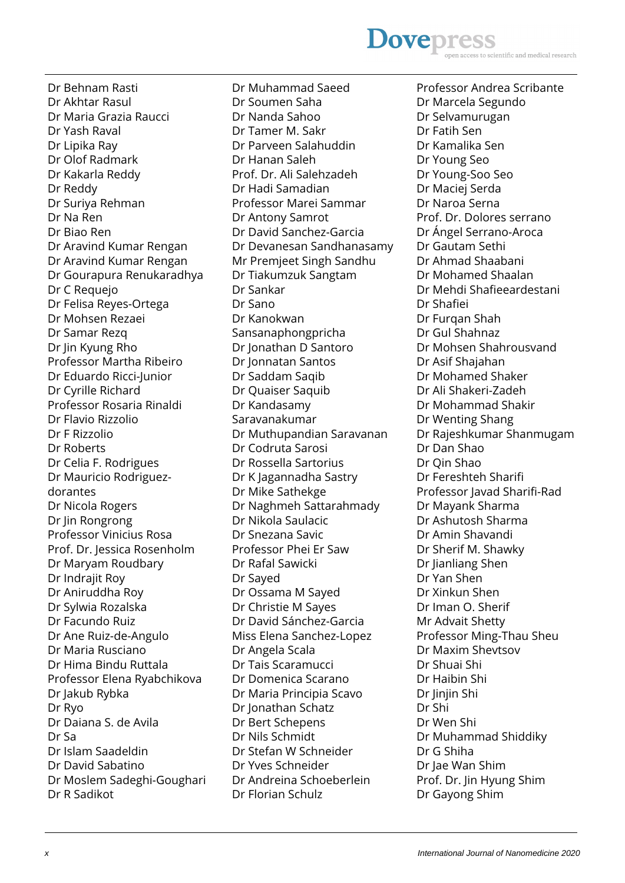# **Dovepress**

Dr Behnam Rasti Dr Akhtar Rasul Dr Maria Grazia Raucci Dr Yash Raval Dr Lipika Ray Dr Olof Radmark Dr Kakarla Reddy Dr Reddy Dr Suriya Rehman Dr Na Ren Dr Biao Ren Dr Aravind Kumar Rengan Dr Aravind Kumar Rengan Dr Gourapura Renukaradhya Dr C Requejo Dr Felisa Reyes-Ortega Dr Mohsen Rezaei Dr Samar Rezq Dr Jin Kyung Rho Professor Martha Ribeiro Dr Eduardo Ricci-Junior Dr Cyrille Richard Professor Rosaria Rinaldi Dr Flavio Rizzolio Dr F Rizzolio Dr Roberts Dr Celia F. Rodrigues Dr Mauricio Rodriguezdorantes Dr Nicola Rogers Dr Jin Rongrong Professor Vinicius Rosa Prof. Dr. Jessica Rosenholm Dr Maryam Roudbary Dr Indrajit Roy Dr Aniruddha Roy Dr Sylwia Rozalska Dr Facundo Ruiz Dr Ane Ruiz-de-Angulo Dr Maria Rusciano Dr Hima Bindu Ruttala Professor Elena Ryabchikova Dr Jakub Rybka Dr Ryo Dr Daiana S. de Avila Dr Sa Dr Islam Saadeldin Dr David Sabatino Dr Moslem Sadeghi-Goughari Dr R Sadikot

Dr Muhammad Saeed Dr Soumen Saha Dr Nanda Sahoo Dr Tamer M. Sakr Dr Parveen Salahuddin Dr Hanan Saleh Prof. Dr. Ali Salehzadeh Dr Hadi Samadian Professor Marei Sammar Dr Antony Samrot Dr David Sanchez-Garcia Dr Devanesan Sandhanasamy Mr Premjeet Singh Sandhu Dr Tiakumzuk Sangtam Dr Sankar Dr Sano Dr Kanokwan Sansanaphongpricha Dr Jonathan D Santoro Dr Jonnatan Santos Dr Saddam Saqib Dr Quaiser Saquib Dr Kandasamy Saravanakumar Dr Muthupandian Saravanan Dr Codruta Sarosi Dr Rossella Sartorius Dr K Jagannadha Sastry Dr Mike Sathekge Dr Naghmeh Sattarahmady Dr Nikola Saulacic Dr Snezana Savic Professor Phei Er Saw Dr Rafal Sawicki Dr Sayed Dr Ossama M Sayed Dr Christie M Sayes Dr David Sánchez-Garcia Miss Elena Sanchez-Lopez Dr Angela Scala Dr Tais Scaramucci Dr Domenica Scarano Dr Maria Principia Scavo Dr Jonathan Schatz Dr Bert Schepens Dr Nils Schmidt Dr Stefan W Schneider Dr Yves Schneider Dr Andreina Schoeberlein Dr Florian Schulz

Professor Andrea Scribante Dr Marcela Segundo Dr Selvamurugan Dr Fatih Sen Dr Kamalika Sen Dr Young Seo Dr Young-Soo Seo Dr Maciej Serda Dr Naroa Serna Prof. Dr. Dolores serrano Dr Ángel Serrano-Aroca Dr Gautam Sethi Dr Ahmad Shaabani Dr Mohamed Shaalan Dr Mehdi Shafieeardestani Dr Shafiei Dr Furqan Shah Dr Gul Shahnaz Dr Mohsen Shahrousvand Dr Asif Shajahan Dr Mohamed Shaker Dr Ali Shakeri-Zadeh Dr Mohammad Shakir Dr Wenting Shang Dr Rajeshkumar Shanmugam Dr Dan Shao Dr Qin Shao Dr Fereshteh Sharifi Professor Javad Sharifi-Rad Dr Mayank Sharma Dr Ashutosh Sharma Dr Amin Shavandi Dr Sherif M. Shawky Dr Jianliang Shen Dr Yan Shen Dr Xinkun Shen Dr Iman O. Sherif Mr Advait Shetty Professor Ming-Thau Sheu Dr Maxim Shevtsov Dr Shuai Shi Dr Haibin Shi Dr liniin Shi Dr Shi Dr Wen Shi Dr Muhammad Shiddiky Dr G Shiha Dr Jae Wan Shim Prof. Dr. Jin Hyung Shim Dr Gayong Shim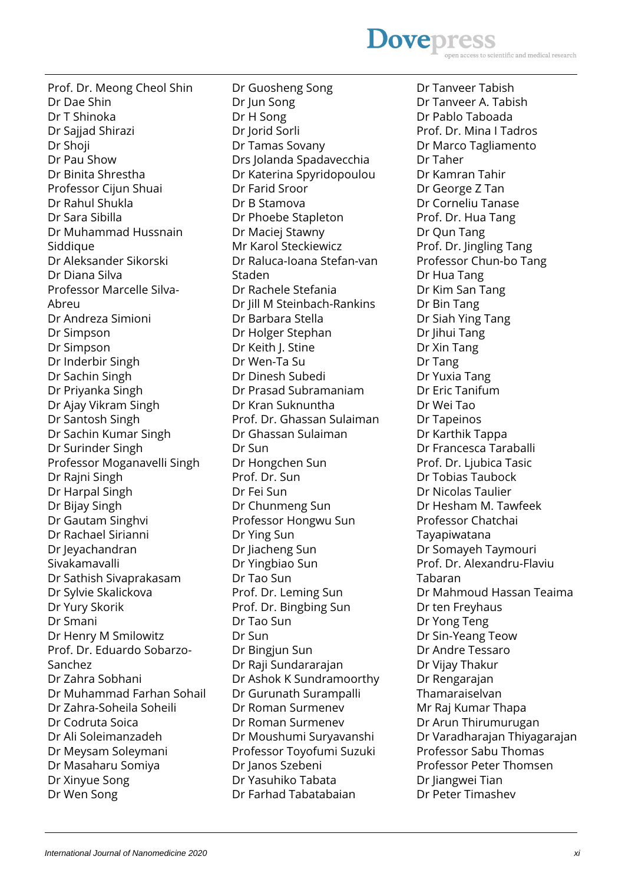**Dovepres** ientific and medical research

Prof. Dr. Meong Cheol Shin Dr Dae Shin Dr T Shinoka Dr Sajjad Shirazi Dr Shoji Dr Pau Show Dr Binita Shrestha Professor Cijun Shuai Dr Rahul Shukla Dr Sara Sibilla Dr Muhammad Hussnain Siddique Dr Aleksander Sikorski Dr Diana Silva Professor Marcelle Silva-Abreu Dr Andreza Simioni Dr Simpson Dr Simpson Dr Inderbir Singh Dr Sachin Singh Dr Priyanka Singh Dr Ajay Vikram Singh Dr Santosh Singh Dr Sachin Kumar Singh Dr Surinder Singh Professor Moganavelli Singh Dr Rajni Singh Dr Harpal Singh Dr Bijay Singh Dr Gautam Singhvi Dr Rachael Sirianni Dr Jeyachandran Sivakamavalli Dr Sathish Sivaprakasam Dr Sylvie Skalickova Dr Yury Skorik Dr Smani Dr Henry M Smilowitz Prof. Dr. Eduardo Sobarzo-Sanchez Dr Zahra Sobhani Dr Muhammad Farhan Sohail Dr Zahra-Soheila Soheili Dr Codruta Soica Dr Ali Soleimanzadeh Dr Meysam Soleymani Dr Masaharu Somiya Dr Xinyue Song Dr Wen Song

Dr Guosheng Song Dr Jun Song Dr H Song Dr Jorid Sorli Dr Tamas Sovany Drs Jolanda Spadavecchia Dr Katerina Spyridopoulou Dr Farid Sroor Dr B Stamova Dr Phoebe Stapleton Dr Maciej Stawny Mr Karol Steckiewicz Dr Raluca-Ioana Stefan-van Staden Dr Rachele Stefania Dr Jill M Steinbach-Rankins Dr Barbara Stella Dr Holger Stephan Dr Keith J. Stine Dr Wen-Ta Su Dr Dinesh Subedi Dr Prasad Subramaniam Dr Kran Suknuntha Prof. Dr. Ghassan Sulaiman Dr Ghassan Sulaiman Dr Sun Dr Hongchen Sun Prof. Dr. Sun Dr Fei Sun Dr Chunmeng Sun Professor Hongwu Sun Dr Ying Sun Dr Jiacheng Sun Dr Yingbiao Sun Dr Tao Sun Prof. Dr. Leming Sun Prof. Dr. Bingbing Sun Dr Tao Sun Dr Sun Dr Bingjun Sun Dr Raji Sundararajan Dr Ashok K Sundramoorthy Dr Gurunath Surampalli Dr Roman Surmenev Dr Roman Surmenev Dr Moushumi Suryavanshi Professor Toyofumi Suzuki Dr Janos Szebeni Dr Yasuhiko Tabata Dr Farhad Tabatabaian

Dr Tanveer Tabish Dr Tanveer A. Tabish Dr Pablo Taboada Prof. Dr. Mina I Tadros Dr Marco Tagliamento Dr Taher Dr Kamran Tahir Dr George Z Tan Dr Corneliu Tanase Prof. Dr. Hua Tang Dr Qun Tang Prof. Dr. Jingling Tang Professor Chun-bo Tang Dr Hua Tang Dr Kim San Tang Dr Bin Tang Dr Siah Ying Tang Dr Jihui Tang Dr Xin Tang Dr Tang Dr Yuxia Tang Dr Eric Tanifum Dr Wei Tao Dr Tapeinos Dr Karthik Tappa Dr Francesca Taraballi Prof. Dr. Ljubica Tasic Dr Tobias Taubock Dr Nicolas Taulier Dr Hesham M. Tawfeek Professor Chatchai Tayapiwatana Dr Somayeh Taymouri Prof. Dr. Alexandru-Flaviu Tabaran Dr Mahmoud Hassan Teaima Dr ten Freyhaus Dr Yong Teng Dr Sin-Yeang Teow Dr Andre Tessaro Dr Vijay Thakur Dr Rengarajan Thamaraiselvan Mr Raj Kumar Thapa Dr Arun Thirumurugan Dr Varadharajan Thiyagarajan Professor Sabu Thomas Professor Peter Thomsen Dr liangwei Tian Dr Peter Timashev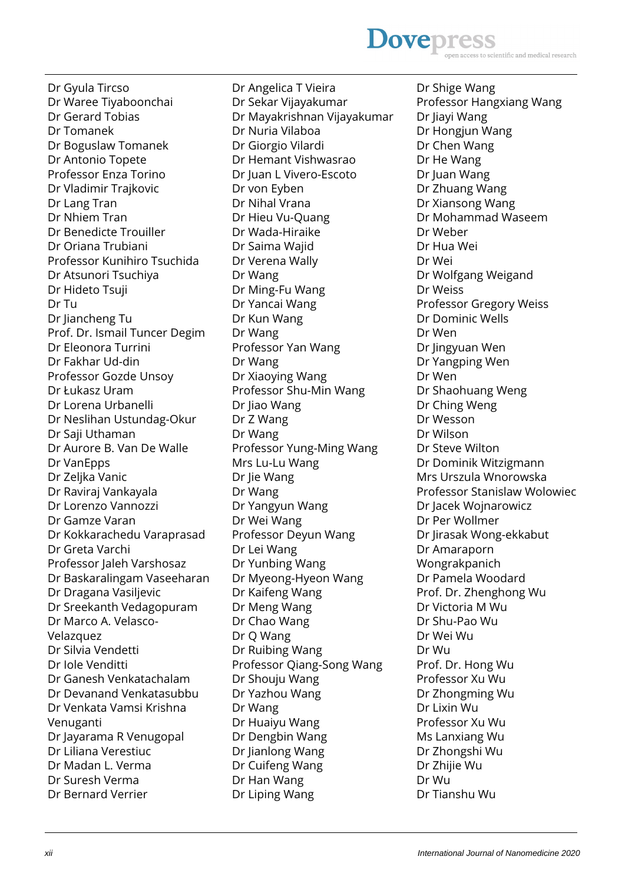Dr Gyula Tircso Dr Waree Tiyaboonchai Dr Gerard Tobias Dr Tomanek Dr Boguslaw Tomanek Dr Antonio Topete Professor Enza Torino Dr Vladimir Trajkovic Dr Lang Tran Dr Nhiem Tran Dr Benedicte Trouiller Dr Oriana Trubiani Professor Kunihiro Tsuchida Dr Atsunori Tsuchiya Dr Hideto Tsuji Dr Tu Dr Jiancheng Tu Prof. Dr. Ismail Tuncer Degim Dr Eleonora Turrini Dr Fakhar Ud-din Professor Gozde Unsoy Dr Łukasz Uram Dr Lorena Urbanelli Dr Neslihan Ustundag-Okur Dr Saji Uthaman Dr Aurore B. Van De Walle Dr VanEpps Dr Zeljka Vanic Dr Raviraj Vankayala Dr Lorenzo Vannozzi Dr Gamze Varan Dr Kokkarachedu Varaprasad Dr Greta Varchi Professor Jaleh Varshosaz Dr Baskaralingam Vaseeharan Dr Dragana Vasiljevic Dr Sreekanth Vedagopuram Dr Marco A. Velasco-Velazquez Dr Silvia Vendetti Dr Iole Venditti Dr Ganesh Venkatachalam Dr Devanand Venkatasubbu Dr Venkata Vamsi Krishna Venuganti Dr Jayarama R Venugopal Dr Liliana Verestiuc Dr Madan L. Verma

Dr Angelica T Vieira Dr Sekar Vijayakumar Dr Mayakrishnan Vijayakumar Dr Nuria Vilaboa Dr Giorgio Vilardi Dr Hemant Vishwasrao Dr Juan L Vivero-Escoto Dr von Eyben Dr Nihal Vrana Dr Hieu Vu-Quang Dr Wada-Hiraike Dr Saima Wajid Dr Verena Wally Dr Wang Dr Ming-Fu Wang Dr Yancai Wang Dr Kun Wang Dr Wang Professor Yan Wang Dr Wang Dr Xiaoying Wang Professor Shu-Min Wang Dr Jiao Wang Dr Z Wang Dr Wang Professor Yung-Ming Wang Mrs Lu-Lu Wang Dr Jie Wang Dr Wang Dr Yangyun Wang Dr Wei Wang Professor Deyun Wang Dr Lei Wang Dr Yunbing Wang Dr Myeong-Hyeon Wang Dr Kaifeng Wang Dr Meng Wang Dr Chao Wang Dr Q Wang Dr Ruibing Wang Professor Qiang-Song Wang Dr Shouju Wang Dr Yazhou Wang Dr Wang Dr Huaiyu Wang Dr Dengbin Wang Dr Jianlong Wang Dr Cuifeng Wang Dr Han Wang Dr Liping Wang

Dr Shige Wang Professor Hangxiang Wang Dr Jiayi Wang Dr Hongjun Wang Dr Chen Wang Dr He Wang Dr Juan Wang Dr Zhuang Wang Dr Xiansong Wang Dr Mohammad Waseem Dr Weber Dr Hua Wei Dr Wei Dr Wolfgang Weigand Dr Weiss Professor Gregory Weiss Dr Dominic Wells Dr Wen Dr Jingyuan Wen Dr Yangping Wen Dr Wen Dr Shaohuang Weng Dr Ching Weng Dr Wesson Dr Wilson Dr Steve Wilton Dr Dominik Witzigmann Mrs Urszula Wnorowska Professor Stanislaw Wolowiec Dr Jacek Wojnarowicz Dr Per Wollmer Dr Jirasak Wong-ekkabut Dr Amaraporn Wongrakpanich Dr Pamela Woodard Prof. Dr. Zhenghong Wu Dr Victoria M Wu Dr Shu-Pao Wu Dr Wei Wu Dr Wu Prof. Dr. Hong Wu Professor Xu Wu Dr Zhongming Wu Dr Lixin Wu Professor Xu Wu Ms Lanxiang Wu Dr Zhongshi Wu Dr Zhijie Wu Dr Wu Dr Tianshu Wu

Dr Suresh Verma Dr Bernard Verrier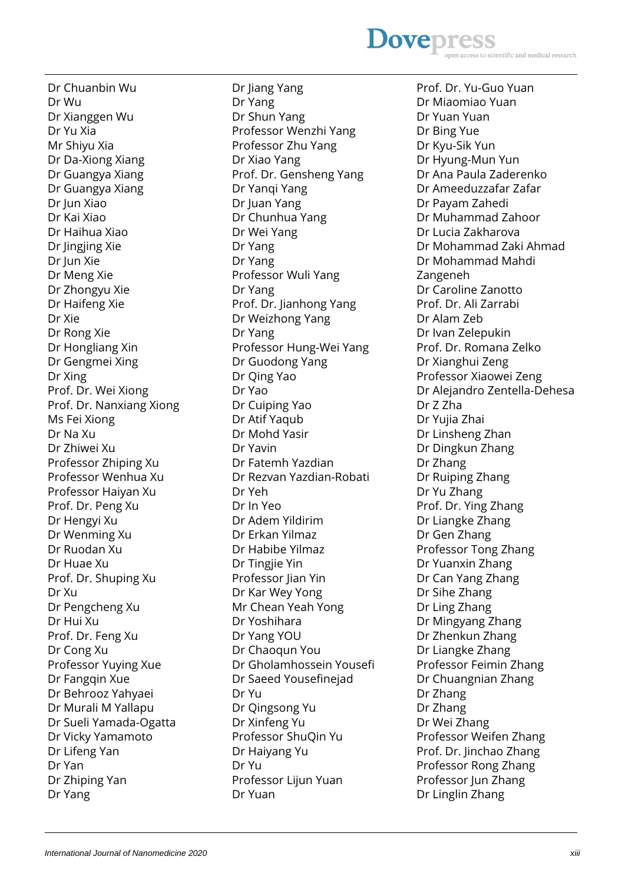#### Dr Wu Dr Xianggen Wu Dr Yu Xia Mr Shiyu Xia Dr Da-Xiong Xiang Dr Guangya Xiang Dr Guangya Xiang Dr Jun Xiao Dr Kai Xiao Dr Haihua Xiao Dr Jingjing Xie Dr Jun Xie Dr Meng Xie Dr Zhongyu Xie Dr Haifeng Xie Dr Xie Dr Rong Xie Dr Hongliang Xin Dr Gengmei Xing Dr Xing Prof. Dr. Wei Xiong Prof. Dr. Nanxiang Xiong Ms Fei Xiong Dr Na Xu Dr Zhiwei Xu Professor Zhiping Xu Professor Wenhua Xu Professor Haiyan Xu Prof. Dr. Peng Xu Dr Hengyi Xu Dr Wenming Xu Dr Ruodan Xu Dr Huae Xu Prof. Dr. Shuping Xu Dr Xu Dr Pengcheng Xu Dr Hui Xu Prof. Dr. Feng Xu Dr Cong Xu Professor Yuying Xue Dr Fangqin Xue Dr Behrooz Yahyaei Dr Murali M Yallapu Dr Sueli Yamada-Ogatta Dr Vicky Yamamoto Dr Lifeng Yan Dr Yan

Dr Chuanbin Wu

Dr Jiang Yang Dr Yang Dr Shun Yang Professor Wenzhi Yang Professor Zhu Yang Dr Xiao Yang Prof. Dr. Gensheng Yang Dr Yanqi Yang Dr Juan Yang Dr Chunhua Yang Dr Wei Yang Dr Yang Dr Yang Professor Wuli Yang Dr Yang Prof. Dr. Jianhong Yang Dr Weizhong Yang Dr Yang Professor Hung-Wei Yang Dr Guodong Yang Dr Qing Yao Dr Yao Dr Cuiping Yao Dr Atif Yaqub Dr Mohd Yasir Dr Yavin Dr Fatemh Yazdian Dr Rezvan Yazdian-Robati Dr Yeh Dr In Yeo Dr Adem Yildirim Dr Erkan Yilmaz Dr Habibe Yilmaz Dr Tingjie Yin Professor Jian Yin Dr Kar Wey Yong Mr Chean Yeah Yong Dr Yoshihara Dr Yang YOU Dr Chaoqun You Dr Gholamhossein Yousefi Dr Saeed Yousefinejad Dr Yu Dr Qingsong Yu Dr Xinfeng Yu Professor ShuQin Yu Dr Haiyang Yu Dr Yu Professor Lijun Yuan Dr Yuan

### **Dovepres** ntific and medical research

Prof. Dr. Yu-Guo Yuan Dr Miaomiao Yuan Dr Yuan Yuan Dr Bing Yue Dr Kyu-Sik Yun Dr Hyung-Mun Yun Dr Ana Paula Zaderenko Dr Ameeduzzafar Zafar Dr Payam Zahedi Dr Muhammad Zahoor Dr Lucia Zakharova Dr Mohammad Zaki Ahmad Dr Mohammad Mahdi Zangeneh Dr Caroline Zanotto Prof. Dr. Ali Zarrabi Dr Alam Zeb Dr Ivan Zelepukin Prof. Dr. Romana Zelko Dr Xianghui Zeng Professor Xiaowei Zeng Dr Alejandro Zentella-Dehesa Dr Z Zha Dr Yujia Zhai Dr Linsheng Zhan Dr Dingkun Zhang Dr Zhang Dr Ruiping Zhang Dr Yu Zhang Prof. Dr. Ying Zhang Dr Liangke Zhang Dr Gen Zhang Professor Tong Zhang Dr Yuanxin Zhang Dr Can Yang Zhang Dr Sihe Zhang Dr Ling Zhang Dr Mingyang Zhang Dr Zhenkun Zhang Dr Liangke Zhang Professor Feimin Zhang Dr Chuangnian Zhang Dr Zhang Dr Zhang Dr Wei Zhang Professor Weifen Zhang Prof. Dr. Jinchao Zhang Professor Rong Zhang Professor Jun Zhang Dr Linglin Zhang

Dr Zhiping Yan

Dr Yang